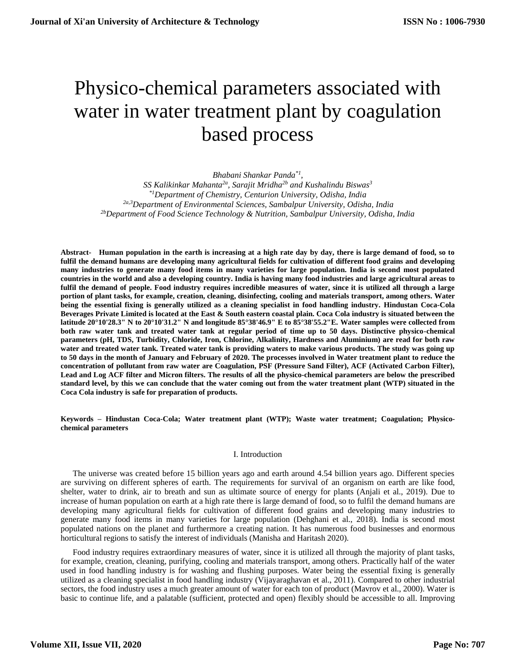# Physico-chemical parameters associated with water in water treatment plant by coagulation based process

*Bhabani Shankar Panda\*1 , SS Kalikinkar Mahanta2a, Sarajit Mridha2b and Kushalindu Biswas<sup>3</sup> \*1Department of Chemistry, Centurion University, Odisha, India 2a,3Department of Environmental Sciences, Sambalpur University, Odisha, India 2bDepartment of Food Science Technology & Nutrition, Sambalpur University, Odisha, India*

**Abstract- Human population in the earth is increasing at a high rate day by day, there is large demand of food, so to fulfil the demand humans are developing many agricultural fields for cultivation of different food grains and developing many industries to generate many food items in many varieties for large population. India is second most populated countries in the world and also a developing country. India is having many food industries and large agricultural areas to fulfil the demand of people. Food industry requires incredible measures of water, since it is utilized all through a large portion of plant tasks, for example, creation, cleaning, disinfecting, cooling and materials transport, among others. Water being the essential fixing is generally utilized as a cleaning specialist in food handling industry. Hindustan Coca-Cola Beverages Private Limited is located at the East & South eastern coastal plain. Coca Cola industry is situated between the latitude 20°10'28.3" N to 20°10'31.2" N and longitude 85°38'46.9" E to 85°38'55.2"E. Water samples were collected from both raw water tank and treated water tank at regular period of time up to 50 days. Distinctive physico-chemical parameters (pH, TDS, Turbidity, Chloride, Iron, Chlorine, Alkalinity, Hardness and Aluminium) are read for both raw water and treated water tank. Treated water tank is providing waters to make various products. The study was going up to 50 days in the month of January and February of 2020. The processes involved in Water treatment plant to reduce the concentration of pollutant from raw water are Coagulation, PSF (Pressure Sand Filter), ACF (Activated Carbon Filter), Lead and Log ACF filter and Micron filters. The results of all the physico-chemical parameters are below the prescribed standard level, by this we can conclude that the water coming out from the water treatment plant (WTP) situated in the Coca Cola industry is safe for preparation of products.**

**Keywords – Hindustan Coca-Cola; Water treatment plant (WTP); Waste water treatment; Coagulation; Physicochemical parameters**

## I. Introduction

The universe was created before 15 billion years ago and earth around 4.54 billion years ago. Different species are surviving on different spheres of earth. The requirements for survival of an organism on earth are like food, shelter, water to drink, air to breath and sun as ultimate source of energy for plants (Anjali et al., 2019). Due to increase of human population on earth at a high rate there is large demand of food, so to fulfil the demand humans are developing many agricultural fields for cultivation of different food grains and developing many industries to generate many food items in many varieties for large population (Dehghani et al., 2018). India is second most populated nations on the planet and furthermore a creating nation. It has numerous food businesses and enormous horticultural regions to satisfy the interest of individuals (Manisha and Haritash 2020).

Food industry requires extraordinary measures of water, since it is utilized all through the majority of plant tasks, for example, creation, cleaning, purifying, cooling and materials transport, among others. Practically half of the water used in food handling industry is for washing and flushing purposes. Water being the essential fixing is generally utilized as a cleaning specialist in food handling industry (Vijayaraghavan et al., 2011). Compared to other industrial sectors, the food industry uses a much greater amount of water for each ton of product (Mavrov et al., 2000). Water is basic to continue life, and a palatable (sufficient, protected and open) flexibly should be accessible to all. Improving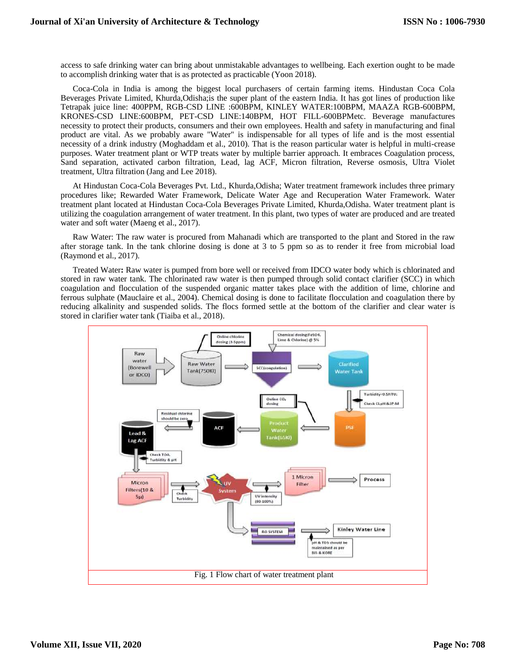access to safe drinking water can bring about unmistakable advantages to wellbeing. Each exertion ought to be made to accomplish drinking water that is as protected as practicable (Yoon 2018).

Coca-Cola in India is among the biggest local purchasers of certain farming items. Hindustan Coca Cola Beverages Private Limited, Khurda,Odisha;is the super plant of the eastern India. It has got lines of production like Tetrapak juice line: 400PPM, RGB-CSD LINE :600BPM, KINLEY WATER:100BPM, MAAZA RGB-600BPM, KRONES-CSD LINE:600BPM, PET-CSD LINE:140BPM, HOT FILL-600BPMetc. Beverage manufactures necessity to protect their products, consumers and their own employees. Health and safety in manufacturing and final product are vital. As we probably aware "Water" is indispensable for all types of life and is the most essential necessity of a drink industry (Moghaddam et al., 2010). That is the reason particular water is helpful in multi-crease purposes. Water treatment plant or WTP treats water by multiple barrier approach. It embraces Coagulation process, Sand separation, activated carbon filtration, Lead, lag ACF, Micron filtration, Reverse osmosis, Ultra Violet treatment, Ultra filtration (Jang and Lee 2018).

At Hindustan Coca-Cola Beverages Pvt. Ltd., Khurda,Odisha; Water treatment framework includes three primary procedures like; Rewarded Water Framework, Delicate Water Age and Recuperation Water Framework. Water treatment plant located at Hindustan Coca-Cola Beverages Private Limited, Khurda,Odisha. Water treatment plant is utilizing the coagulation arrangement of water treatment. In this plant, two types of water are produced and are treated water and soft water (Maeng et al., 2017).

Raw Water: The raw water is procured from Mahanadi which are transported to the plant and Stored in the raw after storage tank. In the tank chlorine dosing is done at 3 to 5 ppm so as to render it free from microbial load (Raymond et al., 2017).

Treated Water**:** Raw water is pumped from bore well or received from IDCO water body which is chlorinated and stored in raw water tank. The chlorinated raw water is then pumped through solid contact clarifier (SCC) in which coagulation and flocculation of the suspended organic matter takes place with the addition of lime, chlorine and ferrous sulphate (Mauclaire et al., 2004). Chemical dosing is done to facilitate flocculation and coagulation there by reducing alkalinity and suspended solids. The flocs formed settle at the bottom of the clarifier and clear water is stored in clarifier water tank (Tiaiba et al., 2018).

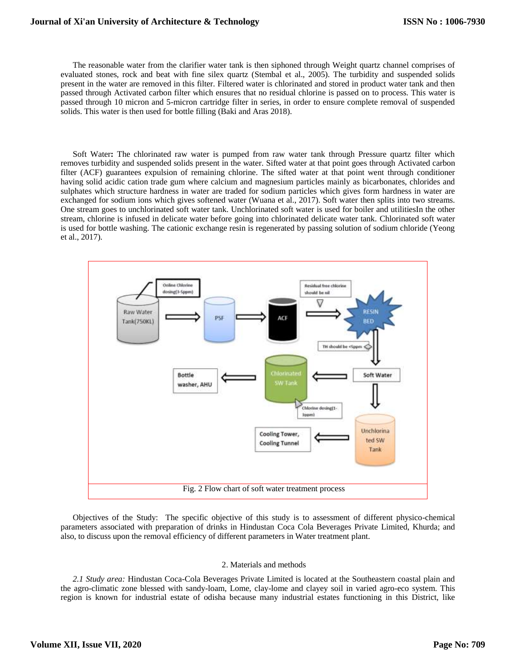The reasonable water from the clarifier water tank is then siphoned through Weight quartz channel comprises of evaluated stones, rock and beat with fine silex quartz (Stembal et al., 2005). The turbidity and suspended solids present in the water are removed in this filter. Filtered water is chlorinated and stored in product water tank and then passed through Activated carbon filter which ensures that no residual chlorine is passed on to process. This water is passed through 10 micron and 5-micron cartridge filter in series, in order to ensure complete removal of suspended solids. This water is then used for bottle filling (Baki and Aras 2018).

Soft Water**:** The chlorinated raw water is pumped from raw water tank through Pressure quartz filter which removes turbidity and suspended solids present in the water. Sifted water at that point goes through Activated carbon filter (ACF) guarantees expulsion of remaining chlorine. The sifted water at that point went through conditioner having solid acidic cation trade gum where calcium and magnesium particles mainly as bicarbonates, chlorides and sulphates which structure hardness in water are traded for sodium particles which gives form hardness in water are exchanged for sodium ions which gives softened water (Wuana et al., 2017). Soft water then splits into two streams. One stream goes to unchlorinated soft water tank. Unchlorinated soft water is used for boiler and utilitiesIn the other stream, chlorine is infused in delicate water before going into chlorinated delicate water tank. Chlorinated soft water is used for bottle washing. The cationic exchange resin is regenerated by passing solution of sodium chloride (Yeong et al., 2017).



Objectives of the Study: The specific objective of this study is to assessment of different physico-chemical parameters associated with preparation of drinks in Hindustan Coca Cola Beverages Private Limited, Khurda; and also, to discuss upon the removal efficiency of different parameters in Water treatment plant.

#### 2. Materials and methods

*2.1 Study area:* Hindustan Coca-Cola Beverages Private Limited is located at the Southeastern coastal plain and the agro-climatic zone blessed with sandy-loam, Lome, clay-lome and clayey soil in varied agro-eco system. This region is known for industrial estate of odisha because many industrial estates functioning in this District, like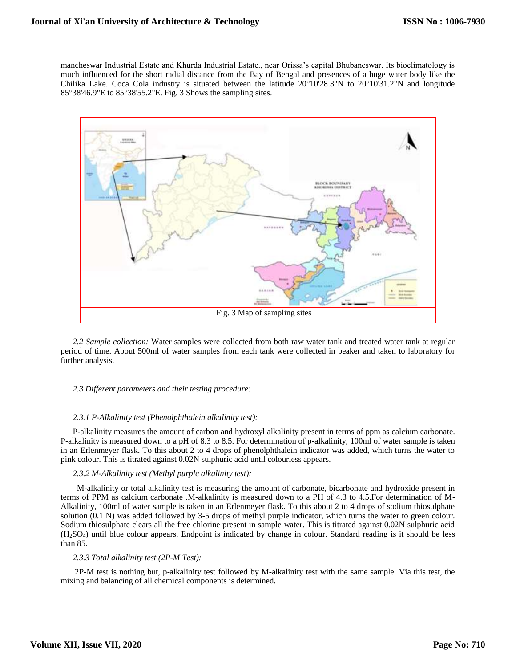mancheswar Industrial Estate and Khurda Industrial Estate., near Orissa's capital Bhubaneswar. Its bioclimatology is much influenced for the short radial distance from the Bay of Bengal and presences of a huge water body like the Chilika Lake. Coca Cola industry is situated between the latitude 20°10'28.3"N to 20°10'31.2"N and longitude 85°38'46.9"E to 85°38'55.2"E. Fig. 3 Shows the sampling sites.



2.2 Sample collection: Water samples were collected from both raw water tank and treated water tank at regular period of time. About 500ml of water samples from each tank were collected in beaker and taken to laboratory for further analysis.

## *2.3 Different parameters and their testing procedure:*

#### *2.3.1 P-Alkalinity test (Phenolphthalein alkalinity test):*

P-alkalinity measures the amount of carbon and hydroxyl alkalinity present in terms of ppm as calcium carbonate. P-alkalinity is measured down to a pH of 8.3 to 8.5. For determination of p-alkalinity, 100ml of water sample is taken in an Erlenmeyer flask. To this about 2 to 4 drops of phenolphthalein indicator was added, which turns the water to pink colour. This is titrated against 0.02N sulphuric acid until colourless appears.

#### *2.3.2 M-Alkalinity test (Methyl purple alkalinity test):*

M-alkalinity or total alkalinity test is measuring the amount of carbonate, bicarbonate and hydroxide present in terms of PPM as calcium carbonate .M-alkalinity is measured down to a PH of 4.3 to 4.5.For determination of M-Alkalinity, 100ml of water sample is taken in an Erlenmeyer flask. To this about 2 to 4 drops of sodium thiosulphate solution (0.1 N) was added followed by 3-5 drops of methyl purple indicator, which turns the water to green colour. Sodium thiosulphate clears all the free chlorine present in sample water. This is titrated against 0.02N sulphuric acid (H2SO4) until blue colour appears. Endpoint is indicated by change in colour. Standard reading is it should be less than 85.

## *2.3.3 Total alkalinity test (2P-M Test):*

2P-M test is nothing but, p-alkalinity test followed by M-alkalinity test with the same sample. Via this test, the mixing and balancing of all chemical components is determined.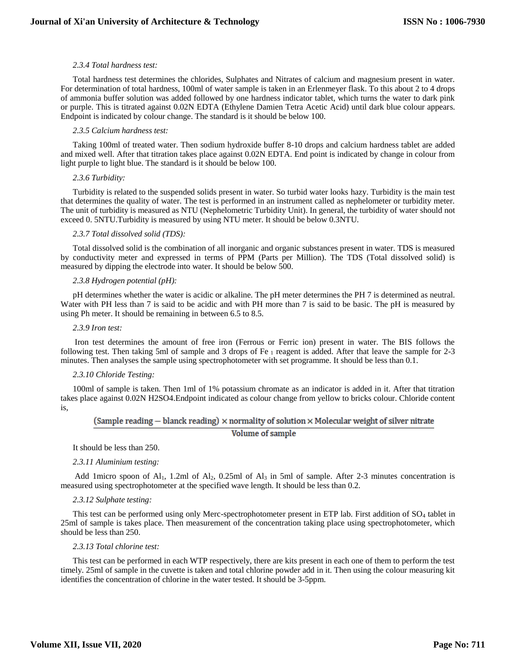## *2.3.4 Total hardness test:*

Total hardness test determines the chlorides, Sulphates and Nitrates of calcium and magnesium present in water. For determination of total hardness, 100ml of water sample is taken in an Erlenmeyer flask. To this about 2 to 4 drops of ammonia buffer solution was added followed by one hardness indicator tablet, which turns the water to dark pink or purple. This is titrated against 0.02N EDTA (Ethylene Damien Tetra Acetic Acid) until dark blue colour appears. Endpoint is indicated by colour change. The standard is it should be below 100.

## *2.3.5 Calcium hardness test:*

Taking 100ml of treated water. Then sodium hydroxide buffer 8-10 drops and calcium hardness tablet are added and mixed well. After that titration takes place against 0.02N EDTA. End point is indicated by change in colour from light purple to light blue. The standard is it should be below 100.

## *2.3.6 Turbidity:*

Turbidity is related to the suspended solids present in water. So turbid water looks hazy. Turbidity is the main test that determines the quality of water. The test is performed in an instrument called as nephelometer or turbidity meter. The unit of turbidity is measured as NTU (Nephelometric Turbidity Unit). In general, the turbidity of water should not exceed 0. 5NTU.Turbidity is measured by using NTU meter. It should be below 0.3NTU.

## *2.3.7 Total dissolved solid (TDS):*

Total dissolved solid is the combination of all inorganic and organic substances present in water. TDS is measured by conductivity meter and expressed in terms of PPM (Parts per Million). The TDS (Total dissolved solid) is measured by dipping the electrode into water. It should be below 500.

## *2.3.8 Hydrogen potential (pH):*

pH determines whether the water is acidic or alkaline. The pH meter determines the PH 7 is determined as neutral. Water with PH less than 7 is said to be acidic and with PH more than 7 is said to be basic. The pH is measured by using Ph meter. It should be remaining in between 6.5 to 8.5.

## *2.3.9 Iron test:*

Iron test determines the amount of free iron (Ferrous or Ferric ion) present in water. The BIS follows the following test. Then taking 5ml of sample and 3 drops of Fe  $_1$  reagent is added. After that leave the sample for 2-3 minutes. Then analyses the sample using spectrophotometer with set programme. It should be less than 0.1.

## *2.3.10 Chloride Testing:*

100ml of sample is taken. Then 1ml of 1% potassium chromate as an indicator is added in it. After that titration takes place against 0.02N H2SO4.Endpoint indicated as colour change from yellow to bricks colour. Chloride content is*,*

(Sample reading  $-$  blanck reading)  $\times$  normality of solution  $\times$  Molecular weight of silver nitrate

## Volume of sample

It should be less than 250.

## *2.3.11 Aluminium testing:*

Add 1micro spoon of Al<sub>1</sub>, 1.2ml of Al<sub>2</sub>, 0.25ml of Al<sub>3</sub> in 5ml of sample. After 2-3 minutes concentration is measured using spectrophotometer at the specified wave length. It should be less than 0.2.

# *2.3.12 Sulphate testing:*

This test can be performed using only Merc-spectrophotometer present in ETP lab. First addition of SO<sub>4</sub> tablet in 25ml of sample is takes place. Then measurement of the concentration taking place using spectrophotometer, which should be less than 250.

#### *2.3.13 Total chlorine test:*

This test can be performed in each WTP respectively, there are kits present in each one of them to perform the test timely. 25ml of sample in the cuvette is taken and total chlorine powder add in it. Then using the colour measuring kit identifies the concentration of chlorine in the water tested. It should be 3-5ppm.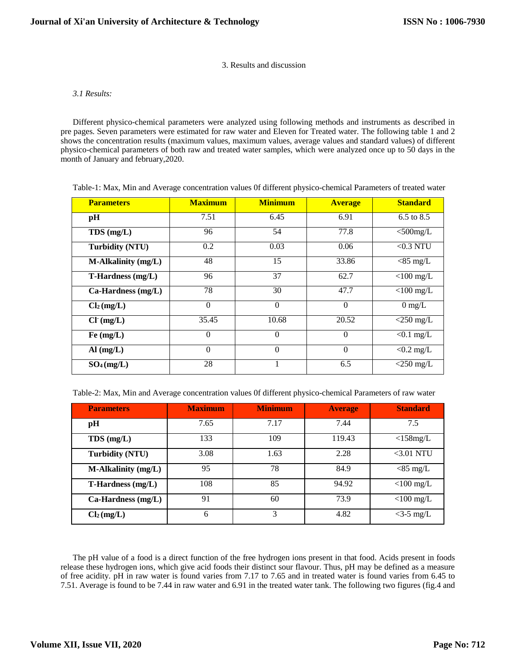# 3. Results and discussion

# *3.1 Results:*

Different physico-chemical parameters were analyzed using following methods and instruments as described in pre pages. Seven parameters were estimated for raw water and Eleven for Treated water. The following table 1 and 2 shows the concentration results (maximum values, maximum values, average values and standard values) of different physico-chemical parameters of both raw and treated water samples, which were analyzed once up to 50 days in the month of January and february,2020.

| Table-1: Max, Min and Average concentration values Of different physico-chemical Parameters of treated water |  |  |  |  |
|--------------------------------------------------------------------------------------------------------------|--|--|--|--|
|                                                                                                              |  |  |  |  |

| <b>Parameters</b>          | <b>Maximum</b>   | <b>Minimum</b> | <b>Average</b> | <b>Standard</b>  |
|----------------------------|------------------|----------------|----------------|------------------|
| pH                         | 7.51             | 6.45           | 6.91           | 6.5 to 8.5       |
| $TDS$ (mg/L)               | 96               | 54             | 77.8           | $<$ 500mg/L      |
| <b>Turbidity (NTU)</b>     | 0.2              | 0.03           | 0.06           | $<$ 0.3 NTU      |
| <b>M-Alkalinity (mg/L)</b> | 48               | 15             | 33.86          | $<$ 85 mg/L      |
| T-Hardness (mg/L)          | 96               | 37             | 62.7           | $<$ 100 mg/L     |
| Ca-Hardness (mg/L)         | 78               | 30             | 47.7           | $<$ 100 mg/L     |
| Cl <sub>2</sub> (mg/L)     | $\boldsymbol{0}$ | $\mathbf{0}$   | $\Omega$       | $0 \text{ mg/L}$ |
| $Cl^-(mg/L)$               | 35.45            | 10.68          | 20.52          | $<$ 250 mg/L     |
| Fe (mg/L)                  | $\Omega$         | $\theta$       | $\Omega$       | $< 0.1$ mg/L     |
| $AI$ (mg/L)                | $\theta$         | $\theta$       | $\theta$       | $< 0.2$ mg/L     |
| $SO_4$ (mg/L)              | 28               |                | 6.5            | $<$ 250 mg/L     |

Table-2: Max, Min and Average concentration values 0f different physico-chemical Parameters of raw water

| <b>Parameters</b>          | <b>Maximum</b> | <b>Minimum</b> | <b>Average</b> | <b>Standard</b> |
|----------------------------|----------------|----------------|----------------|-----------------|
| pH                         | 7.65           | 7.17           | 7.44           | 7.5             |
| $TDS$ (mg/L)               | 133            | 109            | 119.43         | $<$ 158mg/L     |
| <b>Turbidity (NTU)</b>     | 3.08           | 1.63           | 2.28           | $<$ 3.01 NTU    |
| <b>M-Alkalinity (mg/L)</b> | 95             | 78             | 84.9           | $<$ 85 mg/L     |
| $T$ -Hardness $(mg/L)$     | 108            | 85             | 94.92          | $<$ 100 mg/L    |
| Ca-Hardness (mg/L)         | 91             | 60             | 73.9           | $<$ 100 mg/L    |
| Cl <sub>2</sub> (mg/L)     | 6              | 3              | 4.82           | $<$ 3-5 mg/L    |

The pH value of a food is a direct function of the free hydrogen ions present in that food. Acids present in foods release these hydrogen ions, which give acid foods their distinct sour flavour. Thus, pH may be defined as a measure of free acidity. pH in raw water is found varies from 7.17 to 7.65 and in treated water is found varies from 6.45 to 7.51. Average is found to be 7.44 in raw water and 6.91 in the treated water tank. The following two figures (fig.4 and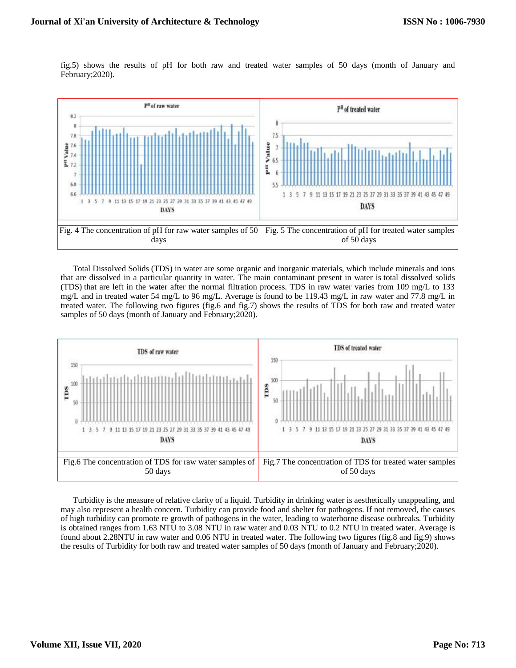fig.5) shows the results of pH for both raw and treated water samples of 50 days (month of January and February;2020).



Total Dissolved Solids (TDS) in water are some organic and inorganic materials, which include minerals and ions that are dissolved in a particular quantity in water. The main contaminant present in water is total dissolved solids (TDS) that are left in the water after the normal filtration process. TDS in raw water varies from 109 mg/L to 133 mg/L and in treated water 54 mg/L to 96 mg/L. Average is found to be 119.43 mg/L in raw water and 77.8 mg/L in treated water. The following two figures (fig.6 and fig.7) shows the results of TDS for both raw and treated water samples of 50 days (month of January and February;2020).



Turbidity is the measure of relative clarity of a liquid. Turbidity in drinking water is aesthetically unappealing, and may also represent a health concern. Turbidity can provide food and shelter for pathogens. If not removed, the causes of high turbidity can promote re growth of pathogens in the water, leading to waterborne disease outbreaks. Turbidity is obtained ranges from 1.63 NTU to 3.08 NTU in raw water and 0.03 NTU to 0.2 NTU in treated water. Average is found about 2.28NTU in raw water and 0.06 NTU in treated water. The following two figures (fig.8 and fig.9) shows the results of Turbidity for both raw and treated water samples of 50 days (month of January and February;2020).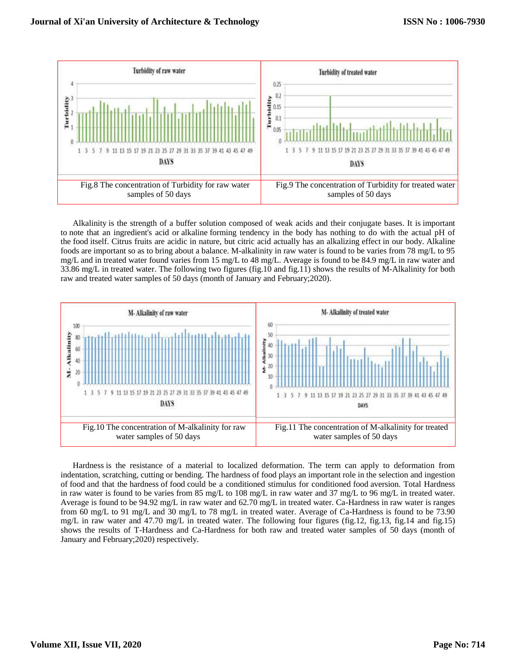

Alkalinity is the strength of a buffer solution composed of weak acids and their conjugate bases. It is important to note that an ingredient's acid or alkaline forming tendency in the body has nothing to do with the actual pH of the food itself. Citrus fruits are acidic in nature, but citric acid actually has an alkalizing effect in our body. Alkaline foods are important so as to bring about a balance. M-alkalinity in raw water is found to be varies from 78 mg/L to 95 mg/L and in treated water found varies from 15 mg/L to 48 mg/L. Average is found to be 84.9 mg/L in raw water and 33.86 mg/L in treated water. The following two figures (fig.10 and fig.11) shows the results of M-Alkalinity for both raw and treated water samples of 50 days (month of January and February;2020).



Hardness is the resistance of a material to localized deformation. The term can apply to deformation from indentation, scratching, cutting or bending. The hardness of food plays an important role in the selection and ingestion of food and that the hardness of food could be a conditioned stimulus for conditioned food aversion. Total Hardness in raw water is found to be varies from 85 mg/L to 108 mg/L in raw water and 37 mg/L to 96 mg/L in treated water. Average is found to be 94.92 mg/L in raw water and 62.70 mg/L in treated water. Ca-Hardness in raw water is ranges from 60 mg/L to 91 mg/L and 30 mg/L to 78 mg/L in treated water. Average of Ca-Hardness is found to be 73.90 mg/L in raw water and 47.70 mg/L in treated water. The following four figures (fig.12, fig.13, fig.14 and fig.15) shows the results of T-Hardness and Ca-Hardness for both raw and treated water samples of 50 days (month of January and February;2020) respectively.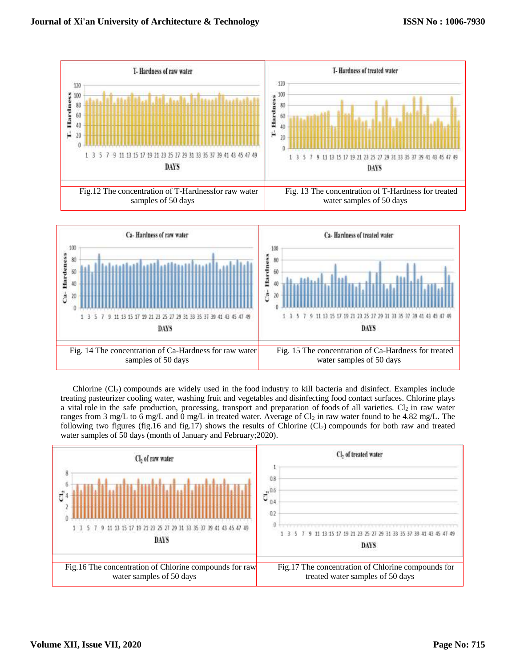

Chlorine (Cl2) compounds are widely used in the food industry to kill bacteria and disinfect. Examples include treating pasteurizer cooling water, washing fruit and vegetables and disinfecting food contact surfaces. Chlorine plays a vital role in the safe production, processing, transport and preparation of foods of all varieties.  $Cl_2$  in raw water ranges from 3 mg/L to 6 mg/L and  $\overline{0}$  mg/L in treated water. Average of Cl<sub>2</sub> in raw water found to be 4.82 mg/L. The following two figures (fig.16 and fig.17) shows the results of Chlorine  $(Cl<sub>2</sub>)$  compounds for both raw and treated water samples of 50 days (month of January and February;2020).

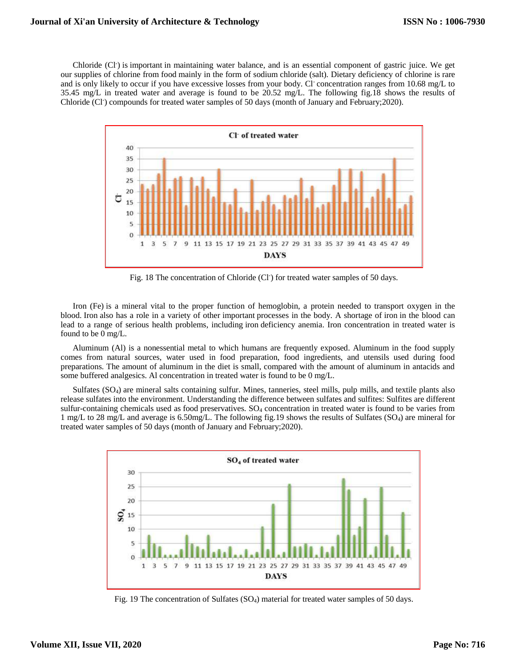Chloride (Cl<sup>-</sup>) is important in maintaining water balance, and is an essential component of gastric juice. We get our supplies of chlorine from food mainly in the form of sodium chloride (salt). Dietary deficiency of chlorine is rare and is only likely to occur if you have excessive losses from your body. Cl concentration ranges from 10.68 mg/L to 35.45 mg/L in treated water and average is found to be 20.52 mg/L. The following fig.18 shows the results of Chloride (Cl<sup>-</sup>) compounds for treated water samples of 50 days (month of January and February;2020).



Fig. 18 The concentration of Chloride (Cl<sup>-</sup>) for treated water samples of 50 days.

Iron (Fe) is a mineral vital to the proper function of hemoglobin, a protein needed to transport oxygen in the blood. Iron also has a role in a variety of other important processes in the body. A shortage of iron in the blood can lead to a range of serious health problems, including iron deficiency anemia. Iron concentration in treated water is found to be 0 mg/L.

Aluminum (Al) is a nonessential metal to which humans are frequently exposed. Aluminum in the food supply comes from natural sources, water used in food preparation, food ingredients, and utensils used during food preparations. The amount of aluminum in the diet is small, compared with the amount of aluminum in antacids and some buffered analgesics. Al concentration in treated water is found to be 0 mg/L.

Sulfates (SO4) are mineral salts containing sulfur. Mines, tanneries, steel mills, pulp mills, and textile plants also release sulfates into the environment. Understanding the difference between sulfates and sulfites: Sulfites are different sulfur-containing chemicals used as food preservatives. SO<sup>4</sup> concentration in treated water is found to be varies from 1 mg/L to 28 mg/L and average is 6.50mg/L. The following fig.19 shows the results of Sulfates (SO4) are mineral for treated water samples of 50 days (month of January and February;2020).



Fig. 19 The concentration of Sulfates (SO4) material for treated water samples of 50 days.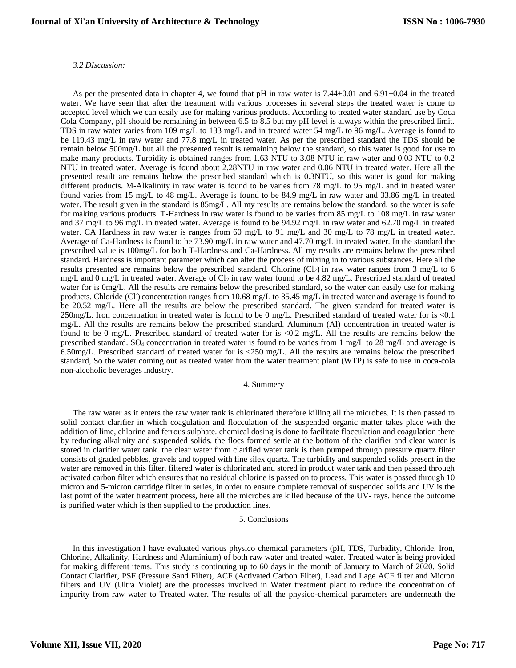## *3.2 DIscussion:*

As per the presented data in chapter 4, we found that pH in raw water is  $7.44\pm0.01$  and  $6.91\pm0.04$  in the treated water. We have seen that after the treatment with various processes in several steps the treated water is come to accepted level which we can easily use for making various products. According to treated water standard use by Coca Cola Company, pH should be remaining in between 6.5 to 8.5 but my pH level is always within the prescribed limit. TDS in raw water varies from 109 mg/L to 133 mg/L and in treated water 54 mg/L to 96 mg/L. Average is found to be 119.43 mg/L in raw water and 77.8 mg/L in treated water. As per the prescribed standard the TDS should be remain below 500mg/L but all the presented result is remaining below the standard, so this water is good for use to make many products. Turbidity is obtained ranges from 1.63 NTU to 3.08 NTU in raw water and 0.03 NTU to 0.2 NTU in treated water. Average is found about 2.28NTU in raw water and 0.06 NTU in treated water. Here all the presented result are remains below the prescribed standard which is 0.3NTU, so this water is good for making different products. M-Alkalinity in raw water is found to be varies from 78 mg/L to 95 mg/L and in treated water found varies from 15 mg/L to 48 mg/L. Average is found to be 84.9 mg/L in raw water and 33.86 mg/L in treated water. The result given in the standard is  $85mg/L$ . All my results are remains below the standard, so the water is safe for making various products. T-Hardness in raw water is found to be varies from 85 mg/L to 108 mg/L in raw water and 37 mg/L to 96 mg/L in treated water. Average is found to be 94.92 mg/L in raw water and 62.70 mg/L in treated water. CA Hardness in raw water is ranges from 60 mg/L to 91 mg/L and 30 mg/L to 78 mg/L in treated water. Average of Ca-Hardness is found to be 73.90 mg/L in raw water and 47.70 mg/L in treated water. In the standard the prescribed value is 100mg/L for both T-Hardness and Ca-Hardness. All my results are remains below the prescribed standard. Hardness is important parameter which can alter the process of mixing in to various substances. Here all the results presented are remains below the prescribed standard. Chlorine  $(Cl<sub>2</sub>)$  in raw water ranges from 3 mg/L to 6 mg/L and 0 mg/L in treated water. Average of Cl<sub>2</sub> in raw water found to be 4.82 mg/L. Prescribed standard of treated water for is 0mg/L. All the results are remains below the prescribed standard, so the water can easily use for making products. Chloride (Cl<sup>-</sup>) concentration ranges from 10.68 mg/L to 35.45 mg/L in treated water and average is found to be 20.52 mg/L. Here all the results are below the prescribed standard. The given standard for treated water is 250mg/L. Iron concentration in treated water is found to be 0 mg/L. Prescribed standard of treated water for is <0.1 mg/L. All the results are remains below the prescribed standard. Aluminum (Al) concentration in treated water is found to be 0 mg/L. Prescribed standard of treated water for is <0.2 mg/L. All the results are remains below the prescribed standard. SO<sup>4</sup> concentration in treated water is found to be varies from 1 mg/L to 28 mg/L and average is 6.50mg/L. Prescribed standard of treated water for is <250 mg/L. All the results are remains below the prescribed standard, So the water coming out as treated water from the water treatment plant (WTP) is safe to use in coca-cola non-alcoholic beverages industry.

## 4. Summery

The raw water as it enters the raw water tank is chlorinated therefore killing all the microbes. It is then passed to solid contact clarifier in which coagulation and flocculation of the suspended organic matter takes place with the addition of lime, chlorine and ferrous sulphate. chemical dosing is done to facilitate flocculation and coagulation there by reducing alkalinity and suspended solids. the flocs formed settle at the bottom of the clarifier and clear water is stored in clarifier water tank. the clear water from clarified water tank is then pumped through pressure quartz filter consists of graded pebbles, gravels and topped with fine silex quartz. The turbidity and suspended solids present in the water are removed in this filter. filtered water is chlorinated and stored in product water tank and then passed through activated carbon filter which ensures that no residual chlorine is passed on to process. This water is passed through 10 micron and 5-micron cartridge filter in series, in order to ensure complete removal of suspended solids and UV is the last point of the water treatment process, here all the microbes are killed because of the UV- rays. hence the outcome is purified water which is then supplied to the production lines.

# 5. Conclusions

In this investigation I have evaluated various physico chemical parameters (pH, TDS, Turbidity, Chloride, Iron, Chlorine, Alkalinity, Hardness and Aluminium) of both raw water and treated water. Treated water is being provided for making different items. This study is continuing up to 60 days in the month of January to March of 2020. Solid Contact Clarifier, PSF (Pressure Sand Filter), ACF (Activated Carbon Filter), Lead and Lage ACF filter and Micron filters and UV (Ultra Violet) are the processes involved in Water treatment plant to reduce the concentration of impurity from raw water to Treated water. The results of all the physico-chemical parameters are underneath the